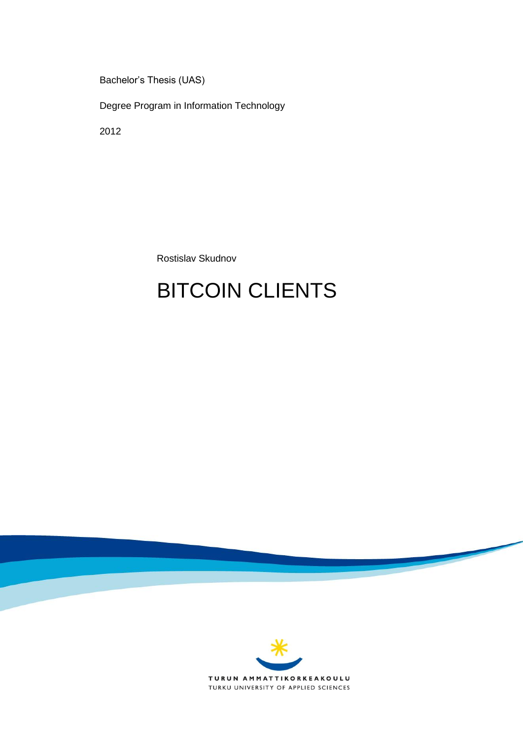Bachelor's Thesis (UAS)

Degree Program in Information Technology

2012

Rostislav Skudnov

# BITCOIN CLIENTS

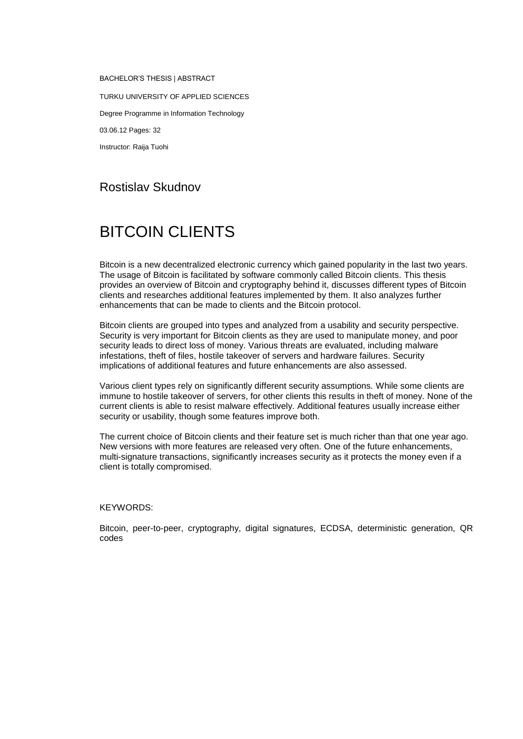BACHELOR'S THESIS | ABSTRACT TURKU UNIVERSITY OF APPLIED SCIENCES Degree Programme in Information Technology 03.06.12 Pages: 32 Instructor: Raija Tuohi

## Rostislav Skudnov

## BITCOIN CLIENTS

Bitcoin is a new decentralized electronic currency which gained popularity in the last two years. The usage of Bitcoin is facilitated by software commonly called Bitcoin clients. This thesis provides an overview of Bitcoin and cryptography behind it, discusses different types of Bitcoin clients and researches additional features implemented by them. It also analyzes further enhancements that can be made to clients and the Bitcoin protocol.

Bitcoin clients are grouped into types and analyzed from a usability and security perspective. Security is very important for Bitcoin clients as they are used to manipulate money, and poor security leads to direct loss of money. Various threats are evaluated, including malware infestations, theft of files, hostile takeover of servers and hardware failures. Security implications of additional features and future enhancements are also assessed.

Various client types rely on significantly different security assumptions. While some clients are immune to hostile takeover of servers, for other clients this results in theft of money. None of the current clients is able to resist malware effectively. Additional features usually increase either security or usability, though some features improve both.

The current choice of Bitcoin clients and their feature set is much richer than that one year ago. New versions with more features are released very often. One of the future enhancements, multi-signature transactions, significantly increases security as it protects the money even if a client is totally compromised.

#### KEYWORDS:

Bitcoin, peer-to-peer, cryptography, digital signatures, ECDSA, deterministic generation, QR codes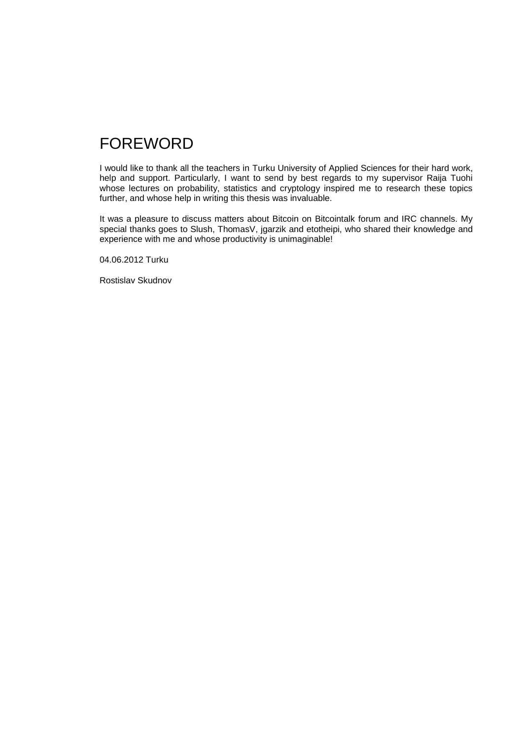## FOREWORD

I would like to thank all the teachers in Turku University of Applied Sciences for their hard work, help and support. Particularly, I want to send by best regards to my supervisor Raija Tuohi whose lectures on probability, statistics and cryptology inspired me to research these topics further, and whose help in writing this thesis was invaluable.

It was a pleasure to discuss matters about Bitcoin on Bitcointalk forum and IRC channels. My special thanks goes to Slush, ThomasV, jgarzik and etotheipi, who shared their knowledge and experience with me and whose productivity is unimaginable!

04.06.2012 Turku

Rostislav Skudnov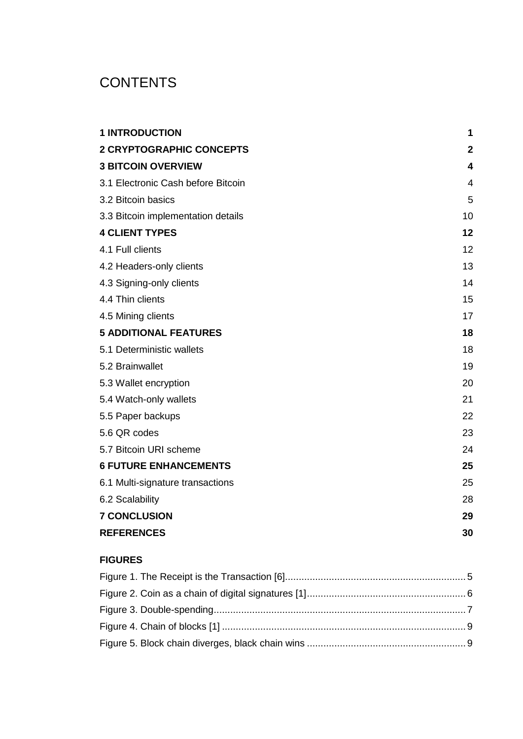## **CONTENTS**

| <b>1 INTRODUCTION</b>              | 1            |
|------------------------------------|--------------|
| <b>2 CRYPTOGRAPHIC CONCEPTS</b>    | $\mathbf{2}$ |
| <b>3 BITCOIN OVERVIEW</b>          | 4            |
| 3.1 Electronic Cash before Bitcoin | 4            |
| 3.2 Bitcoin basics                 | 5            |
| 3.3 Bitcoin implementation details | 10           |
| <b>4 CLIENT TYPES</b>              | 12           |
| 4.1 Full clients                   | 12           |
| 4.2 Headers-only clients           | 13           |
| 4.3 Signing-only clients           | 14           |
| 4.4 Thin clients                   | 15           |
| 4.5 Mining clients                 | 17           |
| <b>5 ADDITIONAL FEATURES</b>       | 18           |
| 5.1 Deterministic wallets          | 18           |
| 5.2 Brainwallet                    | 19           |
| 5.3 Wallet encryption              | 20           |
| 5.4 Watch-only wallets             | 21           |
| 5.5 Paper backups                  | 22           |
| 5.6 QR codes                       | 23           |
| 5.7 Bitcoin URI scheme             | 24           |
| <b>6 FUTURE ENHANCEMENTS</b>       | 25           |
| 6.1 Multi-signature transactions   | 25           |
| 6.2 Scalability                    | 28           |
| <b>7 CONCLUSION</b>                | 29           |
| <b>REFERENCES</b>                  | 30           |

### **FIGURES**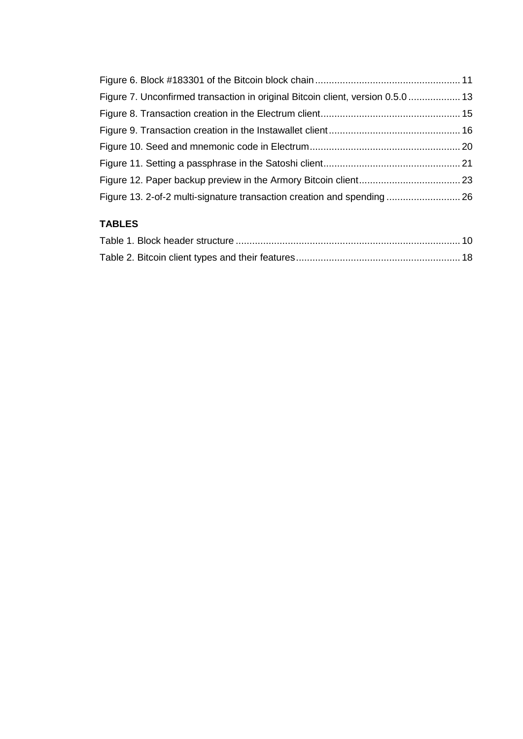| Figure 7. Unconfirmed transaction in original Bitcoin client, version 0.5.0 13 |  |
|--------------------------------------------------------------------------------|--|
|                                                                                |  |
|                                                                                |  |
|                                                                                |  |
|                                                                                |  |
|                                                                                |  |
| Figure 13. 2-of-2 multi-signature transaction creation and spending  26        |  |

### **TABLES**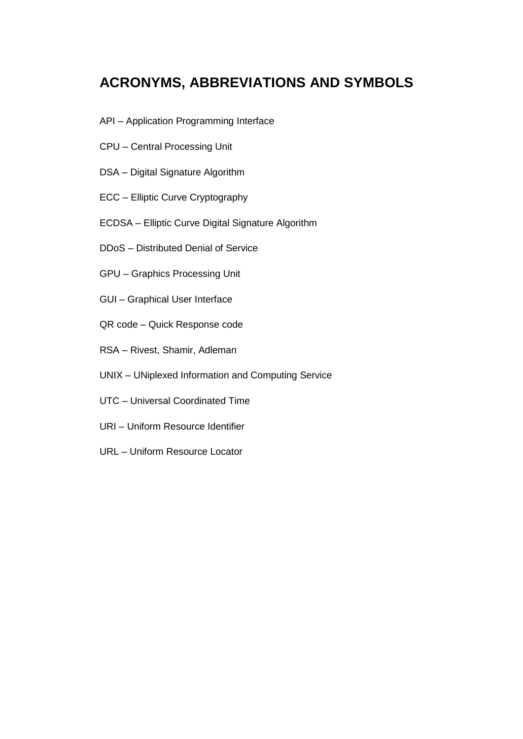## **ACRONYMS, ABBREVIATIONS AND SYMBOLS**

- API Application Programming Interface
- CPU Central Processing Unit
- DSA Digital Signature Algorithm
- ECC Elliptic Curve Cryptography
- ECDSA Elliptic Curve Digital Signature Algorithm
- DDoS Distributed Denial of Service
- GPU Graphics Processing Unit
- GUI Graphical User Interface
- QR code Quick Response code
- RSA Rivest, Shamir, Adleman
- UNIX UNiplexed Information and Computing Service
- UTC Universal Coordinated Time
- URI Uniform Resource Identifier
- URL Uniform Resource Locator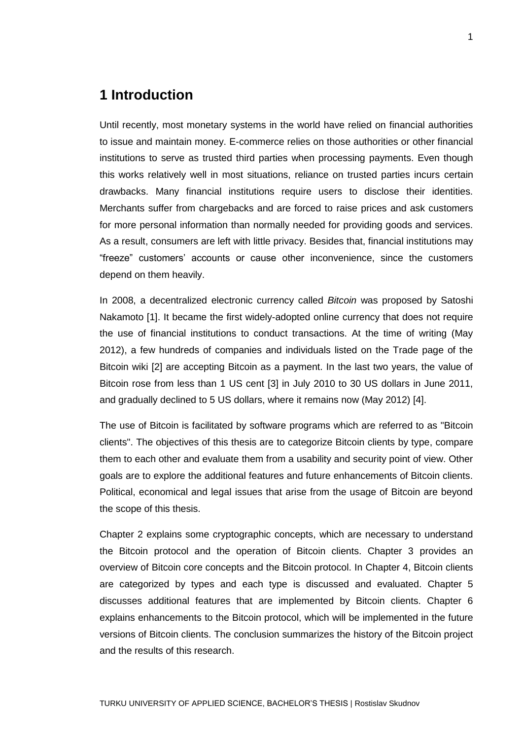## **1 Introduction**

Until recently, most monetary systems in the world have relied on financial authorities to issue and maintain money. E-commerce relies on those authorities or other financial institutions to serve as trusted third parties when processing payments. Even though this works relatively well in most situations, reliance on trusted parties incurs certain drawbacks. Many financial institutions require users to disclose their identities. Merchants suffer from chargebacks and are forced to raise prices and ask customers for more personal information than normally needed for providing goods and services. As a result, consumers are left with little privacy. Besides that, financial institutions may "freeze" customers' accounts or cause other inconvenience, since the customers depend on them heavily.

In 2008, a decentralized electronic currency called *Bitcoin* was proposed by Satoshi Nakamoto [1]. It became the first widely-adopted online currency that does not require the use of financial institutions to conduct transactions. At the time of writing (May 2012), a few hundreds of companies and individuals listed on the Trade page of the Bitcoin wiki [2] are accepting Bitcoin as a payment. In the last two years, the value of Bitcoin rose from less than 1 US cent [3] in July 2010 to 30 US dollars in June 2011, and gradually declined to 5 US dollars, where it remains now (May 2012) [4].

The use of Bitcoin is facilitated by software programs which are referred to as "Bitcoin clients". The objectives of this thesis are to categorize Bitcoin clients by type, compare them to each other and evaluate them from a usability and security point of view. Other goals are to explore the additional features and future enhancements of Bitcoin clients. Political, economical and legal issues that arise from the usage of Bitcoin are beyond the scope of this thesis.

Chapter 2 explains some cryptographic concepts, which are necessary to understand the Bitcoin protocol and the operation of Bitcoin clients. Chapter 3 provides an overview of Bitcoin core concepts and the Bitcoin protocol. In Chapter 4, Bitcoin clients are categorized by types and each type is discussed and evaluated. Chapter 5 discusses additional features that are implemented by Bitcoin clients. Chapter 6 explains enhancements to the Bitcoin protocol, which will be implemented in the future versions of Bitcoin clients. The conclusion summarizes the history of the Bitcoin project and the results of this research.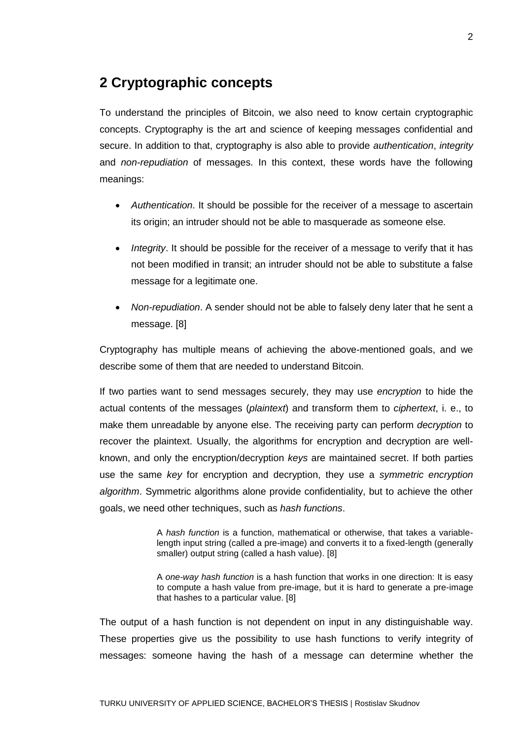## **2 Cryptographic concepts**

To understand the principles of Bitcoin, we also need to know certain cryptographic concepts. Cryptography is the art and science of keeping messages confidential and secure. In addition to that, cryptography is also able to provide *authentication*, *integrity* and *non-repudiation* of messages. In this context, these words have the following meanings:

- *Authentication*. It should be possible for the receiver of a message to ascertain its origin; an intruder should not be able to masquerade as someone else.
- *Integrity*. It should be possible for the receiver of a message to verify that it has not been modified in transit; an intruder should not be able to substitute a false message for a legitimate one.
- *Non-repudiation*. A sender should not be able to falsely deny later that he sent a message. [8]

Cryptography has multiple means of achieving the above-mentioned goals, and we describe some of them that are needed to understand Bitcoin.

If two parties want to send messages securely, they may use *encryption* to hide the actual contents of the messages (*plaintext*) and transform them to *ciphertext*, i. e., to make them unreadable by anyone else. The receiving party can perform *decryption* to recover the plaintext. Usually, the algorithms for encryption and decryption are wellknown, and only the encryption/decryption *keys* are maintained secret. If both parties use the same *key* for encryption and decryption, they use a *symmetric encryption algorithm*. Symmetric algorithms alone provide confidentiality, but to achieve the other goals, we need other techniques, such as *hash functions*.

> A *hash function* is a function, mathematical or otherwise, that takes a variablelength input string (called a pre-image) and converts it to a fixed-length (generally smaller) output string (called a hash value). [8]

> A *one-way hash function* is a hash function that works in one direction: It is easy to compute a hash value from pre-image, but it is hard to generate a pre-image that hashes to a particular value. [8]

The output of a hash function is not dependent on input in any distinguishable way. These properties give us the possibility to use hash functions to verify integrity of messages: someone having the hash of a message can determine whether the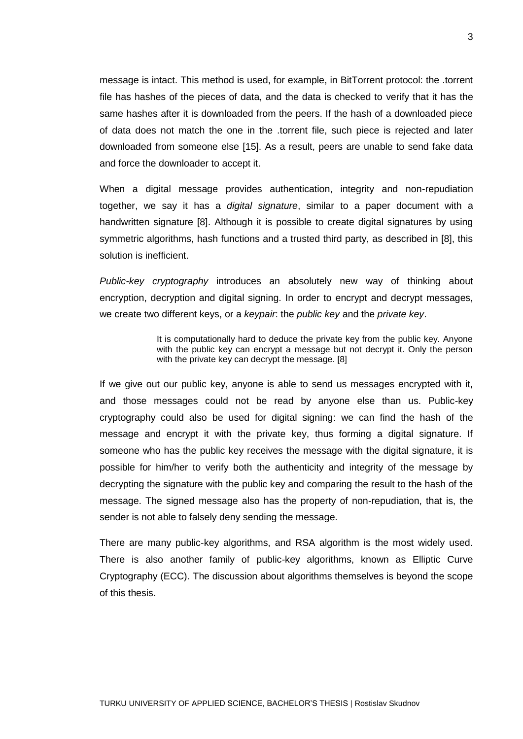message is intact. This method is used, for example, in BitTorrent protocol: the .torrent file has hashes of the pieces of data, and the data is checked to verify that it has the same hashes after it is downloaded from the peers. If the hash of a downloaded piece of data does not match the one in the .torrent file, such piece is rejected and later downloaded from someone else [15]. As a result, peers are unable to send fake data and force the downloader to accept it.

When a digital message provides authentication, integrity and non-repudiation together, we say it has a *digital signature*, similar to a paper document with a handwritten signature [8]. Although it is possible to create digital signatures by using symmetric algorithms, hash functions and a trusted third party, as described in [8], this solution is inefficient.

*Public-key cryptography* introduces an absolutely new way of thinking about encryption, decryption and digital signing. In order to encrypt and decrypt messages, we create two different keys, or a *keypair*: the *public key* and the *private key*.

> It is computationally hard to deduce the private key from the public key. Anyone with the public key can encrypt a message but not decrypt it. Only the person with the private key can decrypt the message. [8]

If we give out our public key, anyone is able to send us messages encrypted with it, and those messages could not be read by anyone else than us. Public-key cryptography could also be used for digital signing: we can find the hash of the message and encrypt it with the private key, thus forming a digital signature. If someone who has the public key receives the message with the digital signature, it is possible for him/her to verify both the authenticity and integrity of the message by decrypting the signature with the public key and comparing the result to the hash of the message. The signed message also has the property of non-repudiation, that is, the sender is not able to falsely deny sending the message.

There are many public-key algorithms, and RSA algorithm is the most widely used. There is also another family of public-key algorithms, known as Elliptic Curve Cryptography (ECC). The discussion about algorithms themselves is beyond the scope of this thesis.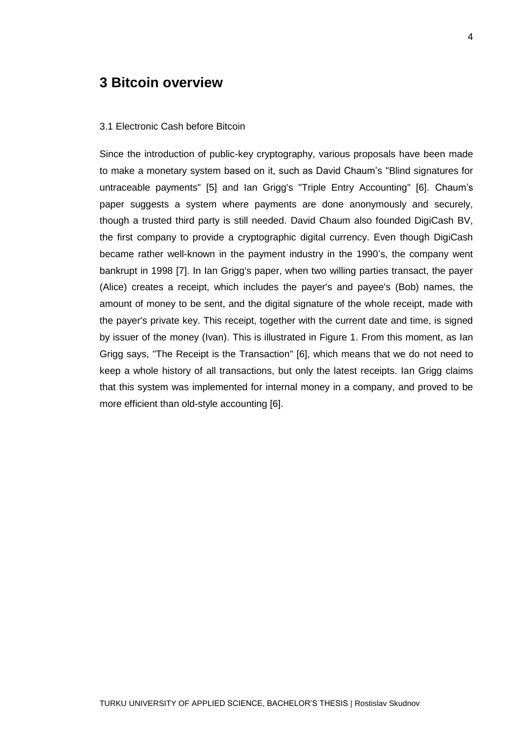## **3 Bitcoin overview**

#### 3.1 Electronic Cash before Bitcoin

Since the introduction of public-key cryptography, various proposals have been made to make a monetary system based on it, such as David Chaum's "Blind signatures for untraceable payments" [5] and Ian Grigg's "Triple Entry Accounting" [6]. Chaum's paper suggests a system where payments are done anonymously and securely, though a trusted third party is still needed. David Chaum also founded DigiCash BV, the first company to provide a cryptographic digital currency. Even though DigiCash became rather well-known in the payment industry in the 1990's, the company went bankrupt in 1998 [7]. In Ian Grigg's paper, when two willing parties transact, the payer (Alice) creates a receipt, which includes the payer's and payee's (Bob) names, the amount of money to be sent, and the digital signature of the whole receipt, made with the payer's private key. This receipt, together with the current date and time, is signed by issuer of the money (Ivan). This is illustrated in Figure 1. From this moment, as Ian Grigg says, "The Receipt is the Transaction" [6], which means that we do not need to keep a whole history of all transactions, but only the latest receipts. Ian Grigg claims that this system was implemented for internal money in a company, and proved to be more efficient than old-style accounting [6].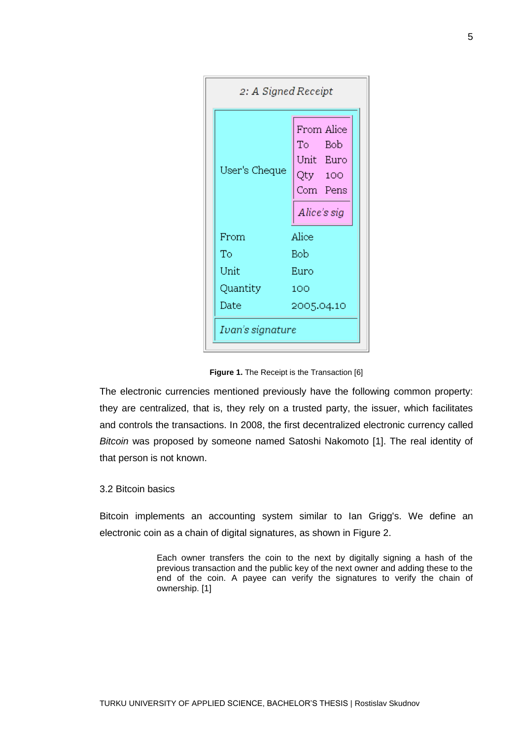| 2: A Signed Receipt |                                                          |  |  |
|---------------------|----------------------------------------------------------|--|--|
| User's Cheque       | From Alice<br>To Bob<br>Unit Euro<br>Qty 100<br>Com Pens |  |  |
| From                | Alice's sig<br>Alice                                     |  |  |
| Tо                  | Bob                                                      |  |  |
| Unit                | Euro                                                     |  |  |
| Quantity<br>100     |                                                          |  |  |
| Date<br>2005.04.10  |                                                          |  |  |
| Ivan's signature    |                                                          |  |  |

**Figure 1.** The Receipt is the Transaction [6]

The electronic currencies mentioned previously have the following common property: they are centralized, that is, they rely on a trusted party, the issuer, which facilitates and controls the transactions. In 2008, the first decentralized electronic currency called *Bitcoin* was proposed by someone named Satoshi Nakomoto [1]. The real identity of that person is not known.

#### 3.2 Bitcoin basics

Bitcoin implements an accounting system similar to Ian Grigg's. We define an electronic coin as a chain of digital signatures, as shown in Figure 2.

> Each owner transfers the coin to the next by digitally signing a hash of the previous transaction and the public key of the next owner and adding these to the end of the coin. A payee can verify the signatures to verify the chain of ownership. [1]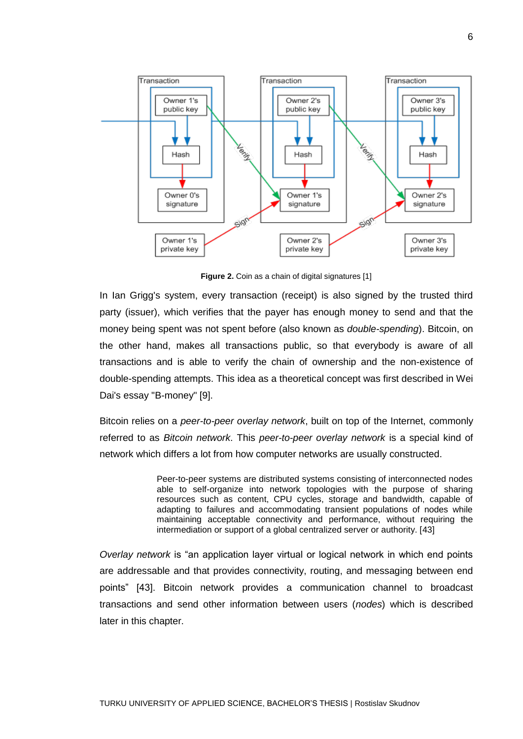

**Figure 2.** Coin as a chain of digital signatures [1]

In Ian Grigg's system, every transaction (receipt) is also signed by the trusted third party (issuer), which verifies that the payer has enough money to send and that the money being spent was not spent before (also known as *double-spending*). Bitcoin, on the other hand, makes all transactions public, so that everybody is aware of all transactions and is able to verify the chain of ownership and the non-existence of double-spending attempts. This idea as a theoretical concept was first described in Wei Dai's essay "B-money" [9].

Bitcoin relies on a *peer-to-peer overlay network*, built on top of the Internet, commonly referred to as *Bitcoin network*. This *peer-to-peer overlay network* is a special kind of network which differs a lot from how computer networks are usually constructed.

> Peer-to-peer systems are distributed systems consisting of interconnected nodes able to self-organize into network topologies with the purpose of sharing resources such as content, CPU cycles, storage and bandwidth, capable of adapting to failures and accommodating transient populations of nodes while maintaining acceptable connectivity and performance, without requiring the intermediation or support of a global centralized server or authority. [43]

*Overlay network* is "an application layer virtual or logical network in which end points are addressable and that provides connectivity, routing, and messaging between end points" [43]. Bitcoin network provides a communication channel to broadcast transactions and send other information between users (*nodes*) which is described later in this chapter.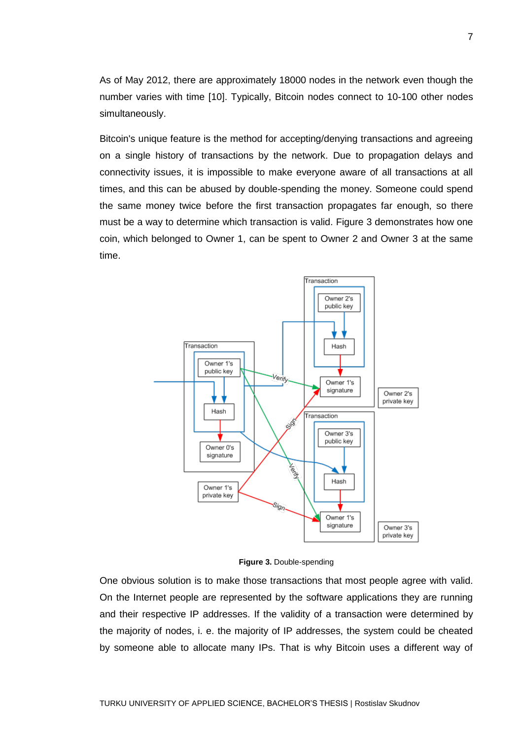As of May 2012, there are approximately 18000 nodes in the network even though the number varies with time [10]. Typically, Bitcoin nodes connect to 10-100 other nodes simultaneously.

Bitcoin's unique feature is the method for accepting/denying transactions and agreeing on a single history of transactions by the network. Due to propagation delays and connectivity issues, it is impossible to make everyone aware of all transactions at all times, and this can be abused by double-spending the money. Someone could spend the same money twice before the first transaction propagates far enough, so there must be a way to determine which transaction is valid. Figure 3 demonstrates how one coin, which belonged to Owner 1, can be spent to Owner 2 and Owner 3 at the same time.



**Figure 3.** Double-spending

One obvious solution is to make those transactions that most people agree with valid. On the Internet people are represented by the software applications they are running and their respective IP addresses. If the validity of a transaction were determined by the majority of nodes, i. e. the majority of IP addresses, the system could be cheated by someone able to allocate many IPs. That is why Bitcoin uses a different way of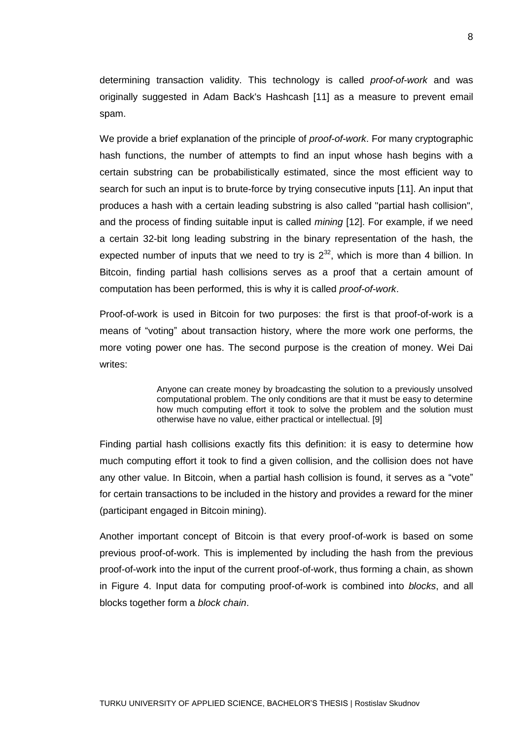determining transaction validity. This technology is called *proof-of-work* and was originally suggested in Adam Back's Hashcash [11] as a measure to prevent email spam.

We provide a brief explanation of the principle of *proof-of-work*. For many cryptographic hash functions, the number of attempts to find an input whose hash begins with a certain substring can be probabilistically estimated, since the most efficient way to search for such an input is to brute-force by trying consecutive inputs [11]. An input that produces a hash with a certain leading substring is also called "partial hash collision", and the process of finding suitable input is called *mining* [12]. For example, if we need a certain 32-bit long leading substring in the binary representation of the hash, the expected number of inputs that we need to try is  $2^{32}$ , which is more than 4 billion. In Bitcoin, finding partial hash collisions serves as a proof that a certain amount of computation has been performed, this is why it is called *proof-of-work*.

Proof-of-work is used in Bitcoin for two purposes: the first is that proof-of-work is a means of "voting" about transaction history, where the more work one performs, the more voting power one has. The second purpose is the creation of money. Wei Dai writes:

> Anyone can create money by broadcasting the solution to a previously unsolved computational problem. The only conditions are that it must be easy to determine how much computing effort it took to solve the problem and the solution must otherwise have no value, either practical or intellectual. [9]

Finding partial hash collisions exactly fits this definition: it is easy to determine how much computing effort it took to find a given collision, and the collision does not have any other value. In Bitcoin, when a partial hash collision is found, it serves as a "vote" for certain transactions to be included in the history and provides a reward for the miner (participant engaged in Bitcoin mining).

Another important concept of Bitcoin is that every proof-of-work is based on some previous proof-of-work. This is implemented by including the hash from the previous proof-of-work into the input of the current proof-of-work, thus forming a chain, as shown in Figure 4. Input data for computing proof-of-work is combined into *blocks*, and all blocks together form a *block chain*.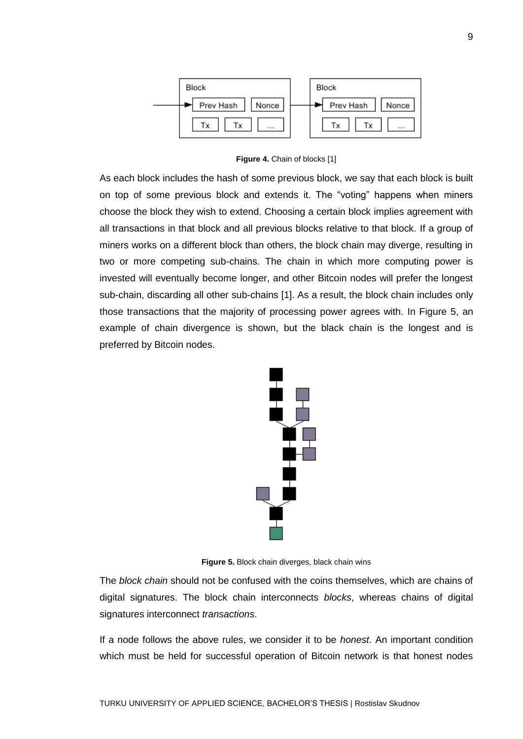

**Figure 4.** Chain of blocks [1]

As each block includes the hash of some previous block, we say that each block is built on top of some previous block and extends it. The "voting" happens when miners choose the block they wish to extend. Choosing a certain block implies agreement with all transactions in that block and all previous blocks relative to that block. If a group of miners works on a different block than others, the block chain may diverge, resulting in two or more competing sub-chains. The chain in which more computing power is invested will eventually become longer, and other Bitcoin nodes will prefer the longest sub-chain, discarding all other sub-chains [1]. As a result, the block chain includes only those transactions that the majority of processing power agrees with. In Figure 5, an example of chain divergence is shown, but the black chain is the longest and is preferred by Bitcoin nodes.



**Figure 5.** Block chain diverges, black chain wins

The *block chain* should not be confused with the coins themselves, which are chains of digital signatures. The block chain interconnects *blocks*, whereas chains of digital signatures interconnect *transactions*.

If a node follows the above rules, we consider it to be *honest*. An important condition which must be held for successful operation of Bitcoin network is that honest nodes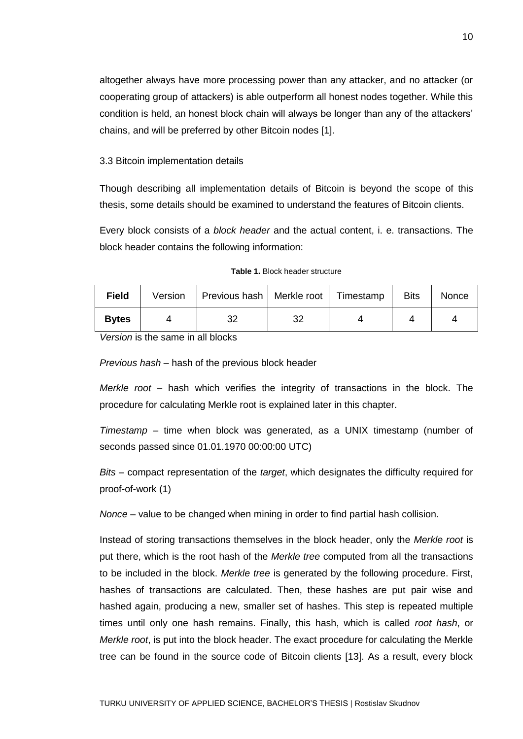altogether always have more processing power than any attacker, and no attacker (or cooperating group of attackers) is able outperform all honest nodes together. While this condition is held, an honest block chain will always be longer than any of the attackers' chains, and will be preferred by other Bitcoin nodes [1].

#### 3.3 Bitcoin implementation details

Though describing all implementation details of Bitcoin is beyond the scope of this thesis, some details should be examined to understand the features of Bitcoin clients.

Every block consists of a *block header* and the actual content, i. e. transactions. The block header contains the following information:

| <b>Field</b> | Version | Previous hash   Merkle root   Timestamp |    | <b>Bits</b> | <b>Nonce</b> |
|--------------|---------|-----------------------------------------|----|-------------|--------------|
| <b>Bytes</b> |         | າເ<br>ັ                                 | 32 |             |              |
| .            | .       | .                                       |    |             |              |

*Version* is the same in all blocks

*Previous hash* – hash of the previous block header

*Merkle root* – hash which verifies the integrity of transactions in the block. The procedure for calculating Merkle root is explained later in this chapter.

*Timestamp* – time when block was generated, as a UNIX timestamp (number of seconds passed since 01.01.1970 00:00:00 UTC)

*Bits* – compact representation of the *target*, which designates the difficulty required for proof-of-work (1)

*Nonce* – value to be changed when mining in order to find partial hash collision.

Instead of storing transactions themselves in the block header, only the *Merkle root* is put there, which is the root hash of the *Merkle tree* computed from all the transactions to be included in the block. *Merkle tree* is generated by the following procedure. First, hashes of transactions are calculated. Then, these hashes are put pair wise and hashed again, producing a new, smaller set of hashes. This step is repeated multiple times until only one hash remains. Finally, this hash, which is called *root hash*, or *Merkle root*, is put into the block header. The exact procedure for calculating the Merkle tree can be found in the source code of Bitcoin clients [13]. As a result, every block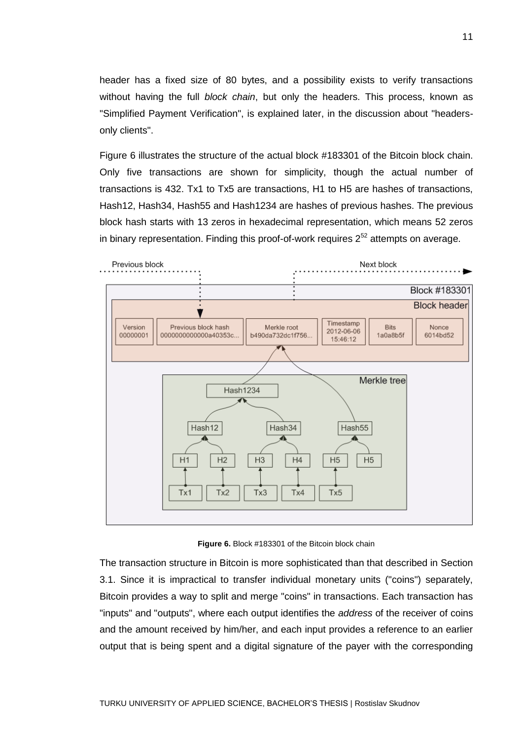header has a fixed size of 80 bytes, and a possibility exists to verify transactions without having the full *block chain*, but only the headers. This process, known as "Simplified Payment Verification", is explained later, in the discussion about "headersonly clients".

Figure 6 illustrates the structure of the actual block #183301 of the Bitcoin block chain. Only five transactions are shown for simplicity, though the actual number of transactions is 432. Tx1 to Tx5 are transactions, H1 to H5 are hashes of transactions, Hash12, Hash34, Hash55 and Hash1234 are hashes of previous hashes. The previous block hash starts with 13 zeros in hexadecimal representation, which means 52 zeros in binary representation. Finding this proof-of-work requires  $2^{52}$  attempts on average.



**Figure 6.** Block #183301 of the Bitcoin block chain

The transaction structure in Bitcoin is more sophisticated than that described in Section 3.1. Since it is impractical to transfer individual monetary units ("coins") separately, Bitcoin provides a way to split and merge "coins" in transactions. Each transaction has "inputs" and "outputs", where each output identifies the *address* of the receiver of coins and the amount received by him/her, and each input provides a reference to an earlier output that is being spent and a digital signature of the payer with the corresponding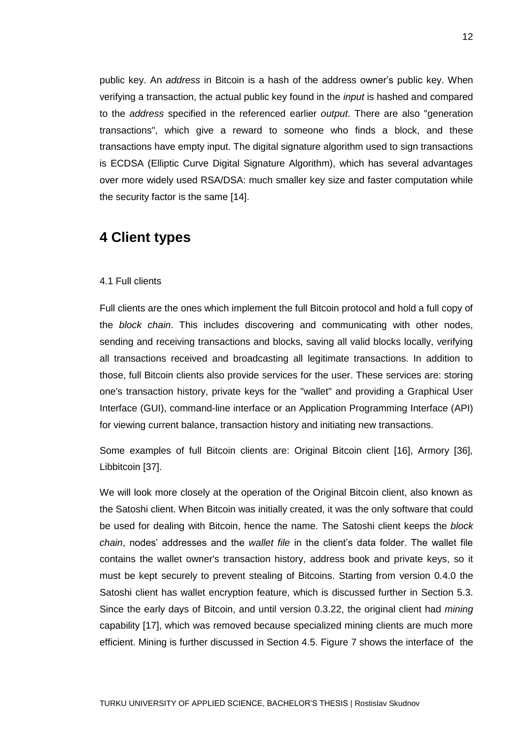public key. An *address* in Bitcoin is a hash of the address owner's public key. When verifying a transaction, the actual public key found in the *input* is hashed and compared to the *address* specified in the referenced earlier *output*. There are also "generation transactions", which give a reward to someone who finds a block, and these transactions have empty input. The digital signature algorithm used to sign transactions is ECDSA (Elliptic Curve Digital Signature Algorithm), which has several advantages over more widely used RSA/DSA: much smaller key size and faster computation while the security factor is the same [14].

## **4 Client types**

#### 4.1 Full clients

Full clients are the ones which implement the full Bitcoin protocol and hold a full copy of the *block chain*. This includes discovering and communicating with other nodes, sending and receiving transactions and blocks, saving all valid blocks locally, verifying all transactions received and broadcasting all legitimate transactions. In addition to those, full Bitcoin clients also provide services for the user. These services are: storing one's transaction history, private keys for the "wallet" and providing a Graphical User Interface (GUI), command-line interface or an Application Programming Interface (API) for viewing current balance, transaction history and initiating new transactions.

Some examples of full Bitcoin clients are: Original Bitcoin client [16], Armory [36], Libbitcoin [37].

We will look more closely at the operation of the Original Bitcoin client, also known as the Satoshi client. When Bitcoin was initially created, it was the only software that could be used for dealing with Bitcoin, hence the name. The Satoshi client keeps the *block chain*, nodes' addresses and the *wallet file* in the client's data folder. The wallet file contains the wallet owner's transaction history, address book and private keys, so it must be kept securely to prevent stealing of Bitcoins. Starting from version 0.4.0 the Satoshi client has wallet encryption feature, which is discussed further in Section 5.3. Since the early days of Bitcoin, and until version 0.3.22, the original client had *mining* capability [17], which was removed because specialized mining clients are much more efficient. Mining is further discussed in Section 4.5. Figure 7 shows the interface of the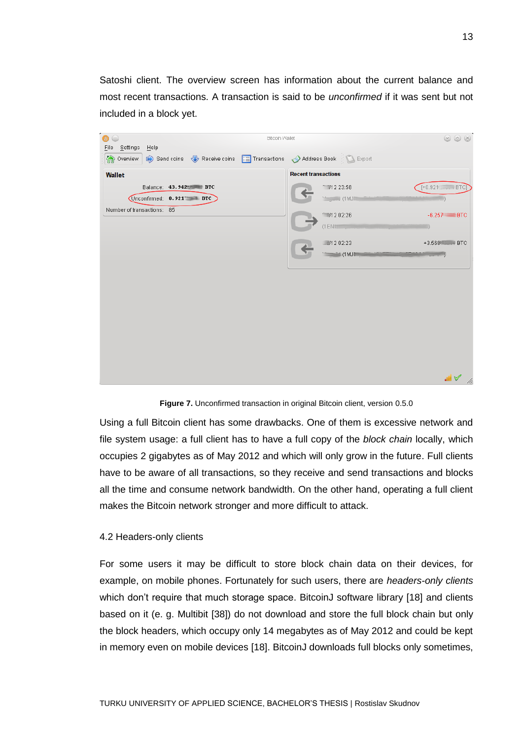Satoshi client. The overview screen has information about the current balance and most recent transactions. A transaction is said to be *unconfirmed* if it was sent but not included in a block yet.

| <b>Bitcoin Wallet</b><br>$(\underline{\ }$                                                                          |                             | $\circledcirc$ $\circledcirc$ |
|---------------------------------------------------------------------------------------------------------------------|-----------------------------|-------------------------------|
| File Settings Help<br><b>Overview C</b> Send coins <b>C</b> Receive coins <b>E</b> Transactions Address Book Export |                             |                               |
| <b>Wallet</b>                                                                                                       | <b>Recent transactions</b>  |                               |
| Balance: 43.942 BTC                                                                                                 | 112 23:58                   | $[+0.921]$ $+$ BTC]           |
| Unconfirmed: 0.921 BTC                                                                                              | Mariji (1 MJII)             |                               |
| Number of transactions: 85                                                                                          | 1202:26                     | $-6.257$ BTC                  |
|                                                                                                                     | $(1)$ ENT $\mathbb{Z}$      |                               |
|                                                                                                                     | 112 02:23                   | +3.568 H + BTC                |
|                                                                                                                     | <b>Controlled (1 MJIII)</b> | $\frac{1}{2}$                 |
|                                                                                                                     |                             |                               |
|                                                                                                                     |                             |                               |
|                                                                                                                     |                             |                               |
|                                                                                                                     |                             |                               |
|                                                                                                                     |                             |                               |
|                                                                                                                     |                             |                               |
|                                                                                                                     |                             |                               |
|                                                                                                                     |                             |                               |
|                                                                                                                     |                             |                               |
|                                                                                                                     |                             | $\blacksquare$<br>h           |

Figure 7. Unconfirmed transaction in original Bitcoin client, version 0.5.0

Using a full Bitcoin client has some drawbacks. One of them is excessive network and file system usage: a full client has to have a full copy of the *block chain* locally, which occupies 2 gigabytes as of May 2012 and which will only grow in the future. Full clients have to be aware of all transactions, so they receive and send transactions and blocks all the time and consume network bandwidth. On the other hand, operating a full client makes the Bitcoin network stronger and more difficult to attack.

#### 4.2 Headers-only clients

For some users it may be difficult to store block chain data on their devices, for example, on mobile phones. Fortunately for such users, there are *headers-only clients* which don't require that much storage space. BitcoinJ software library [18] and clients based on it (e. g. Multibit [38]) do not download and store the full block chain but only the block headers, which occupy only 14 megabytes as of May 2012 and could be kept in memory even on mobile devices [18]. BitcoinJ downloads full blocks only sometimes,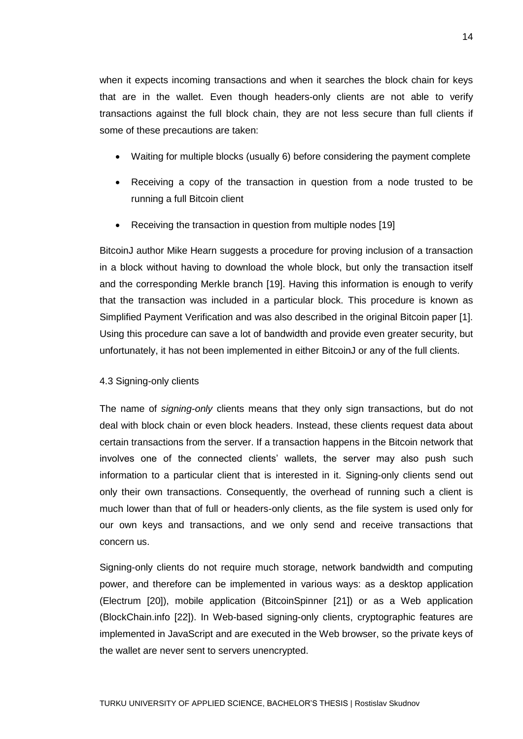when it expects incoming transactions and when it searches the block chain for keys that are in the wallet. Even though headers-only clients are not able to verify transactions against the full block chain, they are not less secure than full clients if some of these precautions are taken:

- Waiting for multiple blocks (usually 6) before considering the payment complete
- Receiving a copy of the transaction in question from a node trusted to be running a full Bitcoin client
- Receiving the transaction in question from multiple nodes [19]

BitcoinJ author Mike Hearn suggests a procedure for proving inclusion of a transaction in a block without having to download the whole block, but only the transaction itself and the corresponding Merkle branch [19]. Having this information is enough to verify that the transaction was included in a particular block. This procedure is known as Simplified Payment Verification and was also described in the original Bitcoin paper [1]. Using this procedure can save a lot of bandwidth and provide even greater security, but unfortunately, it has not been implemented in either BitcoinJ or any of the full clients.

#### 4.3 Signing-only clients

The name of *signing-only* clients means that they only sign transactions, but do not deal with block chain or even block headers. Instead, these clients request data about certain transactions from the server. If a transaction happens in the Bitcoin network that involves one of the connected clients' wallets, the server may also push such information to a particular client that is interested in it. Signing-only clients send out only their own transactions. Consequently, the overhead of running such a client is much lower than that of full or headers-only clients, as the file system is used only for our own keys and transactions, and we only send and receive transactions that concern us.

Signing-only clients do not require much storage, network bandwidth and computing power, and therefore can be implemented in various ways: as a desktop application (Electrum [20]), mobile application (BitcoinSpinner [21]) or as a Web application (BlockChain.info [22]). In Web-based signing-only clients, cryptographic features are implemented in JavaScript and are executed in the Web browser, so the private keys of the wallet are never sent to servers unencrypted.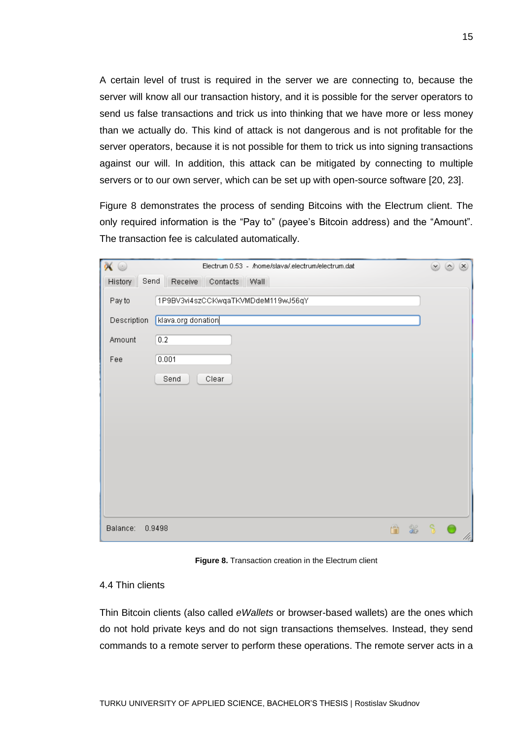A certain level of trust is required in the server we are connecting to, because the server will know all our transaction history, and it is possible for the server operators to send us false transactions and trick us into thinking that we have more or less money than we actually do. This kind of attack is not dangerous and is not profitable for the server operators, because it is not possible for them to trick us into signing transactions against our will. In addition, this attack can be mitigated by connecting to multiple servers or to our own server, which can be set up with open-source software [20, 23].

Figure 8 demonstrates the process of sending Bitcoins with the Electrum client. The only required information is the "Pay to" (payee's Bitcoin address) and the "Amount". The transaction fee is calculated automatically.

| $\odot$                            | Electrum 0.53 - /home/slava/.electrum/electrum.dat |               | $\circ$<br>$(\mathsf{x})$ |
|------------------------------------|----------------------------------------------------|---------------|---------------------------|
| History                            | Send Receive Contacts Wall                         |               |                           |
| $\overline{\phantom{a}}$<br>Pay to | 1P9BV3vi4szCCKwqaTKVMDdeM119wJ56qY                 |               |                           |
| Description                        | klava.org donation                                 |               |                           |
| Amount                             | 0.2                                                |               |                           |
| Fee                                | 0.001                                              |               |                           |
|                                    | Clear<br>Send                                      |               |                           |
|                                    |                                                    |               |                           |
|                                    |                                                    |               |                           |
|                                    |                                                    |               |                           |
|                                    |                                                    |               |                           |
|                                    |                                                    |               |                           |
|                                    |                                                    |               |                           |
|                                    |                                                    |               |                           |
| Balance:                           | ‰<br>0.9498                                        | $\mathcal{S}$ | /h                        |

**Figure 8.** Transaction creation in the Electrum client

#### 4.4 Thin clients

Thin Bitcoin clients (also called *eWallets* or browser-based wallets) are the ones which do not hold private keys and do not sign transactions themselves. Instead, they send commands to a remote server to perform these operations. The remote server acts in a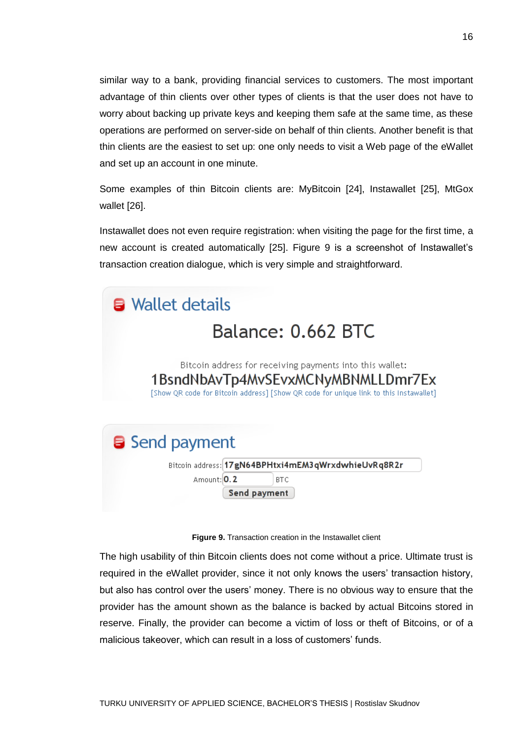similar way to a bank, providing financial services to customers. The most important advantage of thin clients over other types of clients is that the user does not have to worry about backing up private keys and keeping them safe at the same time, as these operations are performed on server-side on behalf of thin clients. Another benefit is that thin clients are the easiest to set up: one only needs to visit a Web page of the eWallet and set up an account in one minute.

Some examples of thin Bitcoin clients are: MyBitcoin [24], Instawallet [25], MtGox wallet [26].

Instawallet does not even require registration: when visiting the page for the first time, a new account is created automatically [25]. Figure 9 is a screenshot of Instawallet's transaction creation dialogue, which is very simple and straightforward.



#### **Figure 9.** Transaction creation in the Instawallet client

The high usability of thin Bitcoin clients does not come without a price. Ultimate trust is required in the eWallet provider, since it not only knows the users' transaction history, but also has control over the users' money. There is no obvious way to ensure that the provider has the amount shown as the balance is backed by actual Bitcoins stored in reserve. Finally, the provider can become a victim of loss or theft of Bitcoins, or of a malicious takeover, which can result in a loss of customers' funds.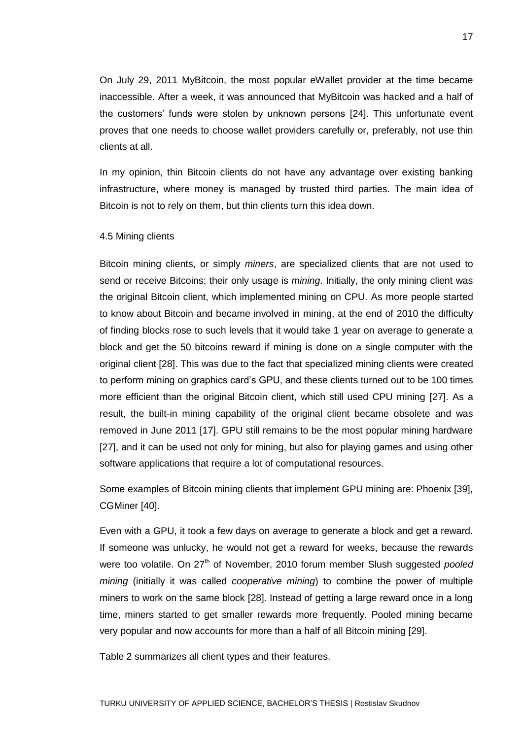On July 29, 2011 MyBitcoin, the most popular eWallet provider at the time became inaccessible. After a week, it was announced that MyBitcoin was hacked and a half of the customers' funds were stolen by unknown persons [24]. This unfortunate event proves that one needs to choose wallet providers carefully or, preferably, not use thin clients at all.

In my opinion, thin Bitcoin clients do not have any advantage over existing banking infrastructure, where money is managed by trusted third parties. The main idea of Bitcoin is not to rely on them, but thin clients turn this idea down.

#### 4.5 Mining clients

Bitcoin mining clients, or simply *miners*, are specialized clients that are not used to send or receive Bitcoins; their only usage is *mining*. Initially, the only mining client was the original Bitcoin client, which implemented mining on CPU. As more people started to know about Bitcoin and became involved in mining, at the end of 2010 the difficulty of finding blocks rose to such levels that it would take 1 year on average to generate a block and get the 50 bitcoins reward if mining is done on a single computer with the original client [28]. This was due to the fact that specialized mining clients were created to perform mining on graphics card's GPU, and these clients turned out to be 100 times more efficient than the original Bitcoin client, which still used CPU mining [27]. As a result, the built-in mining capability of the original client became obsolete and was removed in June 2011 [17]. GPU still remains to be the most popular mining hardware [27], and it can be used not only for mining, but also for playing games and using other software applications that require a lot of computational resources.

Some examples of Bitcoin mining clients that implement GPU mining are: Phoenix [39], CGMiner [40].

Even with a GPU, it took a few days on average to generate a block and get a reward. If someone was unlucky, he would not get a reward for weeks, because the rewards were too volatile. On 27<sup>th</sup> of November, 2010 forum member Slush suggested *pooled mining* (initially it was called *cooperative mining*) to combine the power of multiple miners to work on the same block [28]. Instead of getting a large reward once in a long time, miners started to get smaller rewards more frequently. Pooled mining became very popular and now accounts for more than a half of all Bitcoin mining [29].

Table 2 summarizes all client types and their features.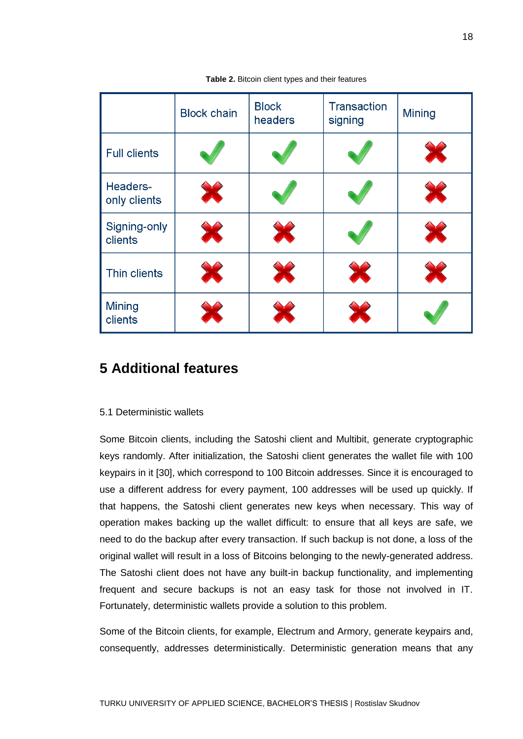|                          | <b>Block chain</b> | <b>Block</b><br>headers | <b>Transaction</b><br>signing | Mining |
|--------------------------|--------------------|-------------------------|-------------------------------|--------|
| <b>Full clients</b>      |                    |                         |                               |        |
| Headers-<br>only clients |                    |                         |                               |        |
| Signing-only<br>clients  | X                  |                         |                               |        |
| Thin clients             |                    |                         |                               |        |
| <b>Mining</b><br>clients |                    |                         |                               |        |

**Table 2.** Bitcoin client types and their features

## **5 Additional features**

#### 5.1 Deterministic wallets

Some Bitcoin clients, including the Satoshi client and Multibit, generate cryptographic keys randomly. After initialization, the Satoshi client generates the wallet file with 100 keypairs in it [30], which correspond to 100 Bitcoin addresses. Since it is encouraged to use a different address for every payment, 100 addresses will be used up quickly. If that happens, the Satoshi client generates new keys when necessary. This way of operation makes backing up the wallet difficult: to ensure that all keys are safe, we need to do the backup after every transaction. If such backup is not done, a loss of the original wallet will result in a loss of Bitcoins belonging to the newly-generated address. The Satoshi client does not have any built-in backup functionality, and implementing frequent and secure backups is not an easy task for those not involved in IT. Fortunately, deterministic wallets provide a solution to this problem.

Some of the Bitcoin clients, for example, Electrum and Armory, generate keypairs and, consequently, addresses deterministically. Deterministic generation means that any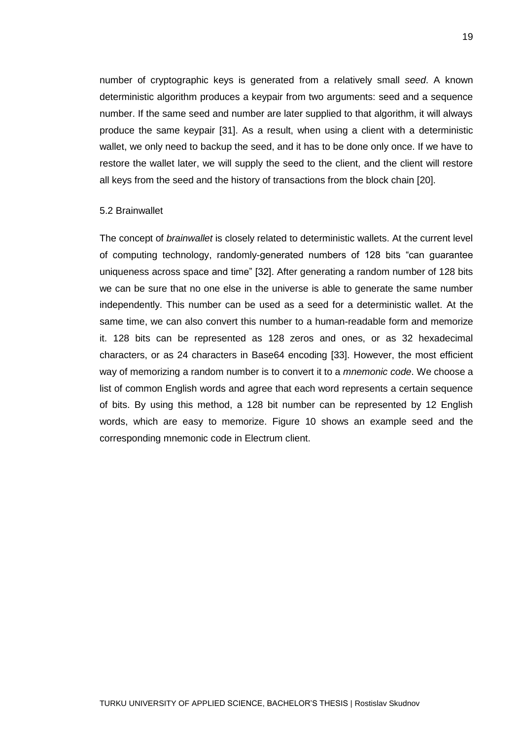number of cryptographic keys is generated from a relatively small *seed*. A known deterministic algorithm produces a keypair from two arguments: seed and a sequence number. If the same seed and number are later supplied to that algorithm, it will always produce the same keypair [31]. As a result, when using a client with a deterministic wallet, we only need to backup the seed, and it has to be done only once. If we have to restore the wallet later, we will supply the seed to the client, and the client will restore all keys from the seed and the history of transactions from the block chain [20].

#### 5.2 Brainwallet

The concept of *brainwallet* is closely related to deterministic wallets. At the current level of computing technology, randomly-generated numbers of 128 bits "can guarantee uniqueness across space and time" [32]. After generating a random number of 128 bits we can be sure that no one else in the universe is able to generate the same number independently. This number can be used as a seed for a deterministic wallet. At the same time, we can also convert this number to a human-readable form and memorize it. 128 bits can be represented as 128 zeros and ones, or as 32 hexadecimal characters, or as 24 characters in Base64 encoding [33]. However, the most efficient way of memorizing a random number is to convert it to a *mnemonic code*. We choose a list of common English words and agree that each word represents a certain sequence of bits. By using this method, a 128 bit number can be represented by 12 English words, which are easy to memorize. Figure 10 shows an example seed and the corresponding mnemonic code in Electrum client.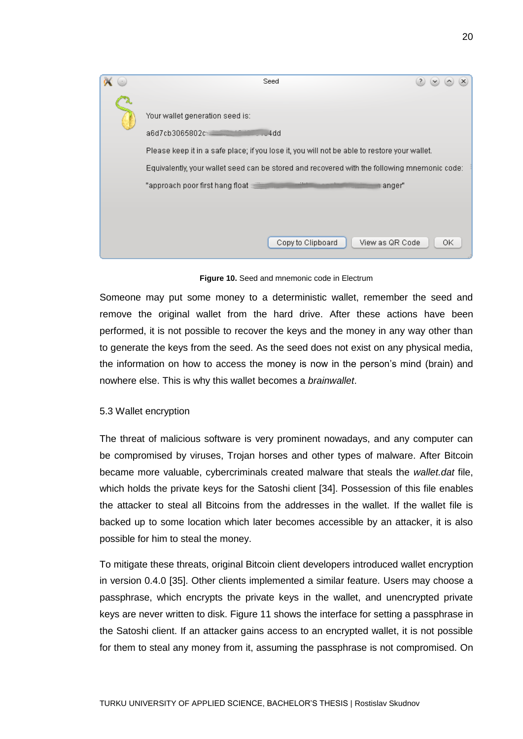| Seed<br>$\mathbf{P}$<br>$\vee$                                                                                                                                                                                                                                                                                   |
|------------------------------------------------------------------------------------------------------------------------------------------------------------------------------------------------------------------------------------------------------------------------------------------------------------------|
| Your wallet generation seed is:<br>a6d7cb3065802c<br>J4dd<br>Please keep it in a safe place; if you lose it, you will not be able to restore your wallet.<br>Equivalently, your wallet seed can be stored and recovered with the following mnemonic code:<br>"approach poor first hang float $\equiv$<br>⊩anqer" |
| Copy to Clipboard<br>View as QR Code<br>ΟK                                                                                                                                                                                                                                                                       |

**Figure 10.** Seed and mnemonic code in Electrum

Someone may put some money to a deterministic wallet, remember the seed and remove the original wallet from the hard drive. After these actions have been performed, it is not possible to recover the keys and the money in any way other than to generate the keys from the seed. As the seed does not exist on any physical media, the information on how to access the money is now in the person's mind (brain) and nowhere else. This is why this wallet becomes a *brainwallet*.

#### 5.3 Wallet encryption

The threat of malicious software is very prominent nowadays, and any computer can be compromised by viruses, Trojan horses and other types of malware. After Bitcoin became more valuable, cybercriminals created malware that steals the *wallet.dat* file, which holds the private keys for the Satoshi client [34]. Possession of this file enables the attacker to steal all Bitcoins from the addresses in the wallet. If the wallet file is backed up to some location which later becomes accessible by an attacker, it is also possible for him to steal the money.

To mitigate these threats, original Bitcoin client developers introduced wallet encryption in version 0.4.0 [35]. Other clients implemented a similar feature. Users may choose a passphrase, which encrypts the private keys in the wallet, and unencrypted private keys are never written to disk. Figure 11 shows the interface for setting a passphrase in the Satoshi client. If an attacker gains access to an encrypted wallet, it is not possible for them to steal any money from it, assuming the passphrase is not compromised. On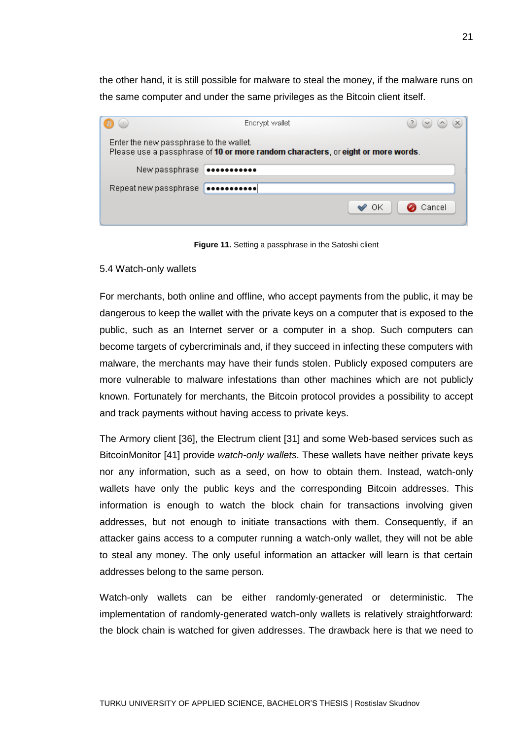the other hand, it is still possible for malware to steal the money, if the malware runs on the same computer and under the same privileges as the Bitcoin client itself.

|                                         | Encrypt wallet                                                                   | $(\times)$ |
|-----------------------------------------|----------------------------------------------------------------------------------|------------|
| Enter the new passphrase to the wallet. | Please use a passphrase of 10 or more random characters, or eight or more words. |            |
| New passphrase                          |                                                                                  |            |
| Repeat new passphrase                   | <b>************</b>                                                              |            |
|                                         | ОK                                                                               | Cancel     |

Figure 11. Setting a passphrase in the Satoshi client

#### 5.4 Watch-only wallets

For merchants, both online and offline, who accept payments from the public, it may be dangerous to keep the wallet with the private keys on a computer that is exposed to the public, such as an Internet server or a computer in a shop. Such computers can become targets of cybercriminals and, if they succeed in infecting these computers with malware, the merchants may have their funds stolen. Publicly exposed computers are more vulnerable to malware infestations than other machines which are not publicly known. Fortunately for merchants, the Bitcoin protocol provides a possibility to accept and track payments without having access to private keys.

The Armory client [36], the Electrum client [31] and some Web-based services such as BitcoinMonitor [41] provide *watch-only wallets*. These wallets have neither private keys nor any information, such as a seed, on how to obtain them. Instead, watch-only wallets have only the public keys and the corresponding Bitcoin addresses. This information is enough to watch the block chain for transactions involving given addresses, but not enough to initiate transactions with them. Consequently, if an attacker gains access to a computer running a watch-only wallet, they will not be able to steal any money. The only useful information an attacker will learn is that certain addresses belong to the same person.

Watch-only wallets can be either randomly-generated or deterministic. The implementation of randomly-generated watch-only wallets is relatively straightforward: the block chain is watched for given addresses. The drawback here is that we need to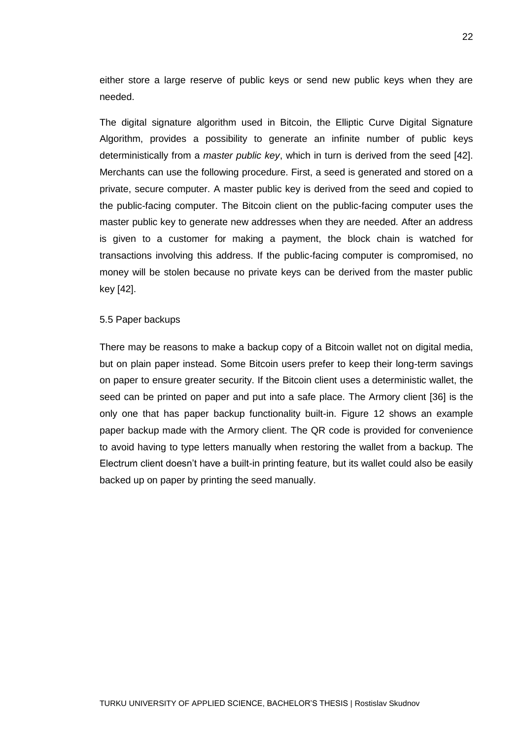either store a large reserve of public keys or send new public keys when they are needed.

The digital signature algorithm used in Bitcoin, the Elliptic Curve Digital Signature Algorithm, provides a possibility to generate an infinite number of public keys deterministically from a *master public key*, which in turn is derived from the seed [42]. Merchants can use the following procedure. First, a seed is generated and stored on a private, secure computer. A master public key is derived from the seed and copied to the public-facing computer. The Bitcoin client on the public-facing computer uses the master public key to generate new addresses when they are needed. After an address is given to a customer for making a payment, the block chain is watched for transactions involving this address. If the public-facing computer is compromised, no money will be stolen because no private keys can be derived from the master public key [42].

#### 5.5 Paper backups

There may be reasons to make a backup copy of a Bitcoin wallet not on digital media, but on plain paper instead. Some Bitcoin users prefer to keep their long-term savings on paper to ensure greater security. If the Bitcoin client uses a deterministic wallet, the seed can be printed on paper and put into a safe place. The Armory client [36] is the only one that has paper backup functionality built-in. Figure 12 shows an example paper backup made with the Armory client. The QR code is provided for convenience to avoid having to type letters manually when restoring the wallet from a backup. The Electrum client doesn't have a built-in printing feature, but its wallet could also be easily backed up on paper by printing the seed manually.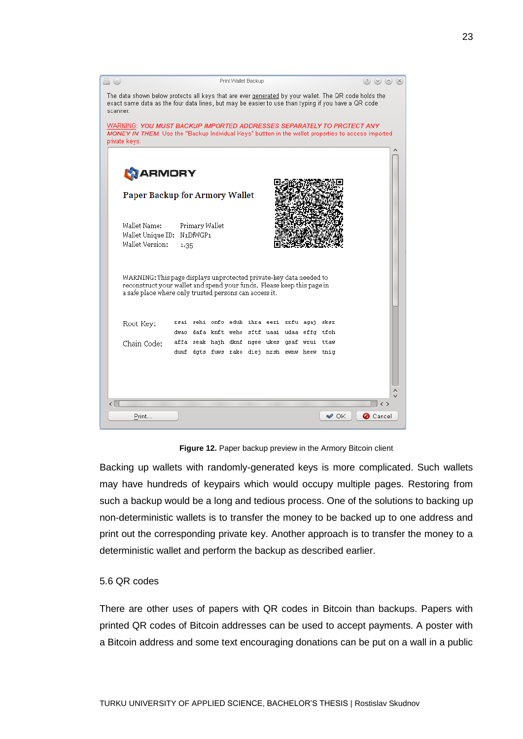

**Figure 12.** Paper backup preview in the Armory Bitcoin client

Backing up wallets with randomly-generated keys is more complicated. Such wallets may have hundreds of keypairs which would occupy multiple pages. Restoring from such a backup would be a long and tedious process. One of the solutions to backing up non-deterministic wallets is to transfer the money to be backed up to one address and print out the corresponding private key. Another approach is to transfer the money to a deterministic wallet and perform the backup as described earlier.

#### 5.6 QR codes

There are other uses of papers with QR codes in Bitcoin than backups. Papers with printed QR codes of Bitcoin addresses can be used to accept payments. A poster with a Bitcoin address and some text encouraging donations can be put on a wall in a public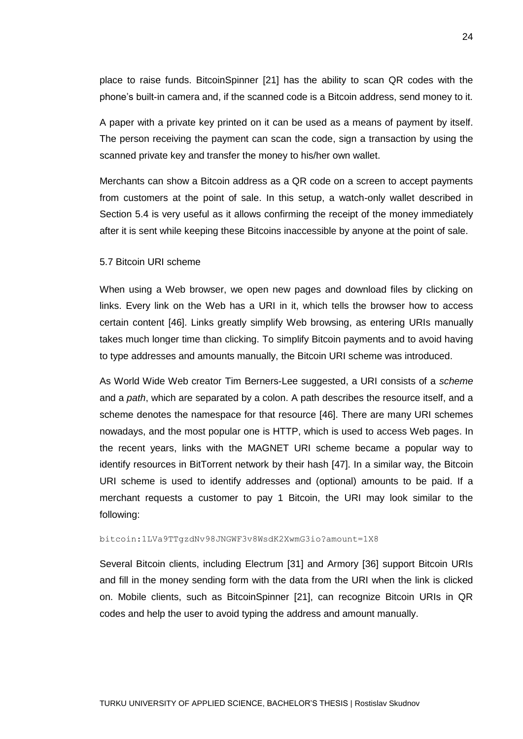place to raise funds. BitcoinSpinner [21] has the ability to scan QR codes with the phone's built-in camera and, if the scanned code is a Bitcoin address, send money to it.

A paper with a private key printed on it can be used as a means of payment by itself. The person receiving the payment can scan the code, sign a transaction by using the scanned private key and transfer the money to his/her own wallet.

Merchants can show a Bitcoin address as a QR code on a screen to accept payments from customers at the point of sale. In this setup, a watch-only wallet described in Section 5.4 is very useful as it allows confirming the receipt of the money immediately after it is sent while keeping these Bitcoins inaccessible by anyone at the point of sale.

#### 5.7 Bitcoin URI scheme

When using a Web browser, we open new pages and download files by clicking on links. Every link on the Web has a URI in it, which tells the browser how to access certain content [46]. Links greatly simplify Web browsing, as entering URIs manually takes much longer time than clicking. To simplify Bitcoin payments and to avoid having to type addresses and amounts manually, the Bitcoin URI scheme was introduced.

As World Wide Web creator Tim Berners-Lee suggested, a URI consists of a *scheme* and a *path*, which are separated by a colon. A path describes the resource itself, and a scheme denotes the namespace for that resource [46]. There are many URI schemes nowadays, and the most popular one is HTTP, which is used to access Web pages. In the recent years, links with the MAGNET URI scheme became a popular way to identify resources in BitTorrent network by their hash [47]. In a similar way, the Bitcoin URI scheme is used to identify addresses and (optional) amounts to be paid. If a merchant requests a customer to pay 1 Bitcoin, the URI may look similar to the following:

#### bitcoin:1LVa9TTgzdNv98JNGWF3v8WsdK2XwmG3io?amount=1X8

Several Bitcoin clients, including Electrum [31] and Armory [36] support Bitcoin URIs and fill in the money sending form with the data from the URI when the link is clicked on. Mobile clients, such as BitcoinSpinner [21], can recognize Bitcoin URIs in QR codes and help the user to avoid typing the address and amount manually.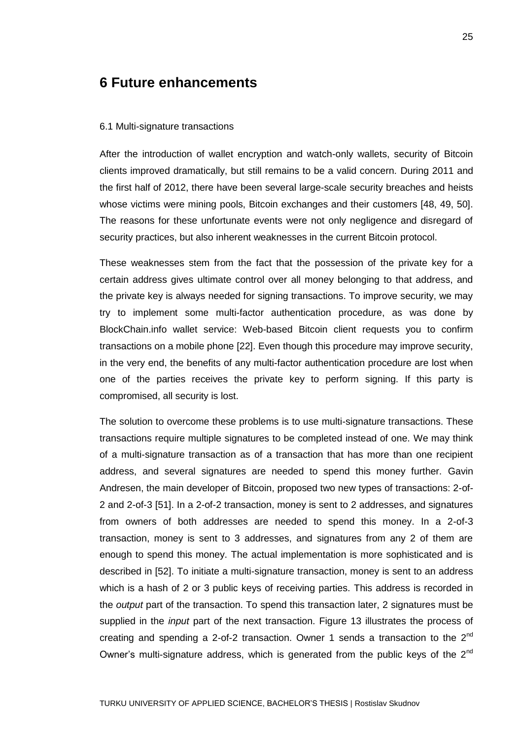### **6 Future enhancements**

#### 6.1 Multi-signature transactions

After the introduction of wallet encryption and watch-only wallets, security of Bitcoin clients improved dramatically, but still remains to be a valid concern. During 2011 and the first half of 2012, there have been several large-scale security breaches and heists whose victims were mining pools, Bitcoin exchanges and their customers [48, 49, 50]. The reasons for these unfortunate events were not only negligence and disregard of security practices, but also inherent weaknesses in the current Bitcoin protocol.

These weaknesses stem from the fact that the possession of the private key for a certain address gives ultimate control over all money belonging to that address, and the private key is always needed for signing transactions. To improve security, we may try to implement some multi-factor authentication procedure, as was done by BlockChain.info wallet service: Web-based Bitcoin client requests you to confirm transactions on a mobile phone [22]. Even though this procedure may improve security, in the very end, the benefits of any multi-factor authentication procedure are lost when one of the parties receives the private key to perform signing. If this party is compromised, all security is lost.

The solution to overcome these problems is to use multi-signature transactions. These transactions require multiple signatures to be completed instead of one. We may think of a multi-signature transaction as of a transaction that has more than one recipient address, and several signatures are needed to spend this money further. Gavin Andresen, the main developer of Bitcoin, proposed two new types of transactions: 2-of-2 and 2-of-3 [51]. In a 2-of-2 transaction, money is sent to 2 addresses, and signatures from owners of both addresses are needed to spend this money. In a 2-of-3 transaction, money is sent to 3 addresses, and signatures from any 2 of them are enough to spend this money. The actual implementation is more sophisticated and is described in [52]. To initiate a multi-signature transaction, money is sent to an address which is a hash of 2 or 3 public keys of receiving parties. This address is recorded in the *output* part of the transaction. To spend this transaction later, 2 signatures must be supplied in the *input* part of the next transaction. Figure 13 illustrates the process of creating and spending a 2-of-2 transaction. Owner 1 sends a transaction to the 2<sup>nd</sup> Owner's multi-signature address, which is generated from the public keys of the  $2<sup>nd</sup>$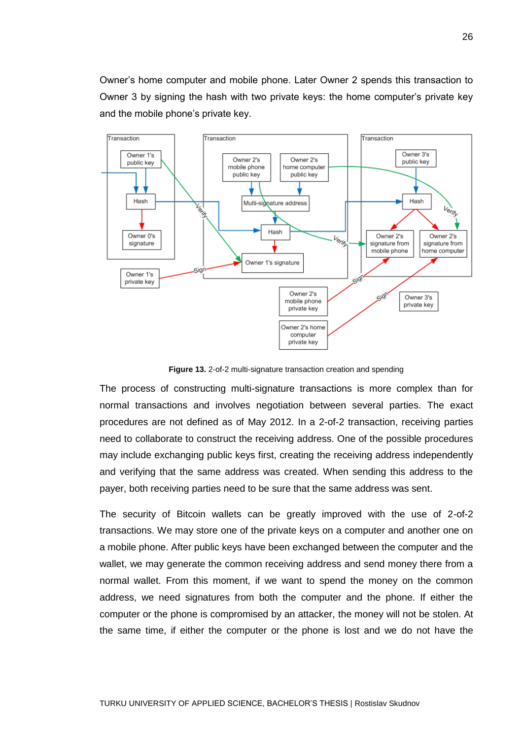Owner's home computer and mobile phone. Later Owner 2 spends this transaction to Owner 3 by signing the hash with two private keys: the home computer's private key and the mobile phone's private key.



**Figure 13.** 2-of-2 multi-signature transaction creation and spending

The process of constructing multi-signature transactions is more complex than for normal transactions and involves negotiation between several parties. The exact procedures are not defined as of May 2012. In a 2-of-2 transaction, receiving parties need to collaborate to construct the receiving address. One of the possible procedures may include exchanging public keys first, creating the receiving address independently and verifying that the same address was created. When sending this address to the payer, both receiving parties need to be sure that the same address was sent.

The security of Bitcoin wallets can be greatly improved with the use of 2-of-2 transactions. We may store one of the private keys on a computer and another one on a mobile phone. After public keys have been exchanged between the computer and the wallet, we may generate the common receiving address and send money there from a normal wallet. From this moment, if we want to spend the money on the common address, we need signatures from both the computer and the phone. If either the computer or the phone is compromised by an attacker, the money will not be stolen. At the same time, if either the computer or the phone is lost and we do not have the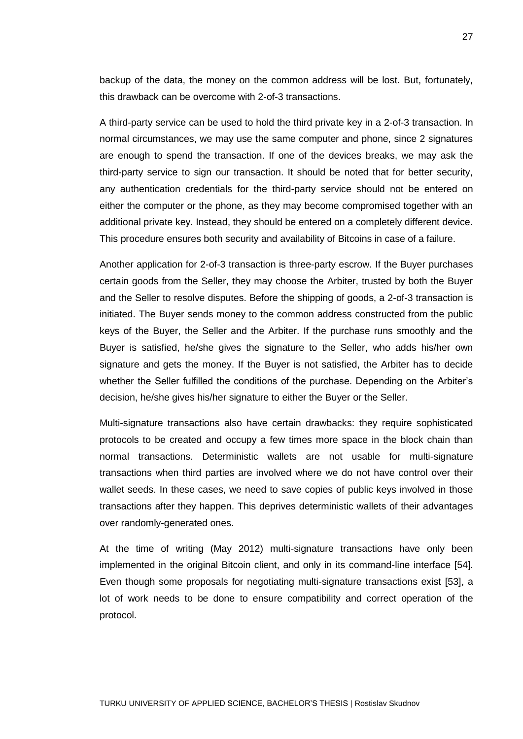backup of the data, the money on the common address will be lost. But, fortunately, this drawback can be overcome with 2-of-3 transactions.

A third-party service can be used to hold the third private key in a 2-of-3 transaction. In normal circumstances, we may use the same computer and phone, since 2 signatures are enough to spend the transaction. If one of the devices breaks, we may ask the third-party service to sign our transaction. It should be noted that for better security, any authentication credentials for the third-party service should not be entered on either the computer or the phone, as they may become compromised together with an additional private key. Instead, they should be entered on a completely different device. This procedure ensures both security and availability of Bitcoins in case of a failure.

Another application for 2-of-3 transaction is three-party escrow. If the Buyer purchases certain goods from the Seller, they may choose the Arbiter, trusted by both the Buyer and the Seller to resolve disputes. Before the shipping of goods, a 2-of-3 transaction is initiated. The Buyer sends money to the common address constructed from the public keys of the Buyer, the Seller and the Arbiter. If the purchase runs smoothly and the Buyer is satisfied, he/she gives the signature to the Seller, who adds his/her own signature and gets the money. If the Buyer is not satisfied, the Arbiter has to decide whether the Seller fulfilled the conditions of the purchase. Depending on the Arbiter's decision, he/she gives his/her signature to either the Buyer or the Seller.

Multi-signature transactions also have certain drawbacks: they require sophisticated protocols to be created and occupy a few times more space in the block chain than normal transactions. Deterministic wallets are not usable for multi-signature transactions when third parties are involved where we do not have control over their wallet seeds. In these cases, we need to save copies of public keys involved in those transactions after they happen. This deprives deterministic wallets of their advantages over randomly-generated ones.

At the time of writing (May 2012) multi-signature transactions have only been implemented in the original Bitcoin client, and only in its command-line interface [54]. Even though some proposals for negotiating multi-signature transactions exist [53], a lot of work needs to be done to ensure compatibility and correct operation of the protocol.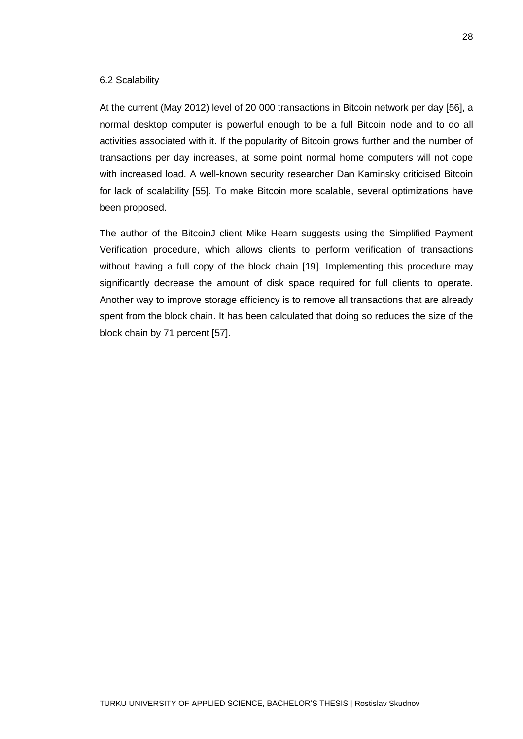#### 6.2 Scalability

At the current (May 2012) level of 20 000 transactions in Bitcoin network per day [56], a normal desktop computer is powerful enough to be a full Bitcoin node and to do all activities associated with it. If the popularity of Bitcoin grows further and the number of transactions per day increases, at some point normal home computers will not cope with increased load. A well-known security researcher Dan Kaminsky criticised Bitcoin for lack of scalability [55]. To make Bitcoin more scalable, several optimizations have been proposed.

The author of the BitcoinJ client Mike Hearn suggests using the Simplified Payment Verification procedure, which allows clients to perform verification of transactions without having a full copy of the block chain [19]. Implementing this procedure may significantly decrease the amount of disk space required for full clients to operate. Another way to improve storage efficiency is to remove all transactions that are already spent from the block chain. It has been calculated that doing so reduces the size of the block chain by 71 percent [57].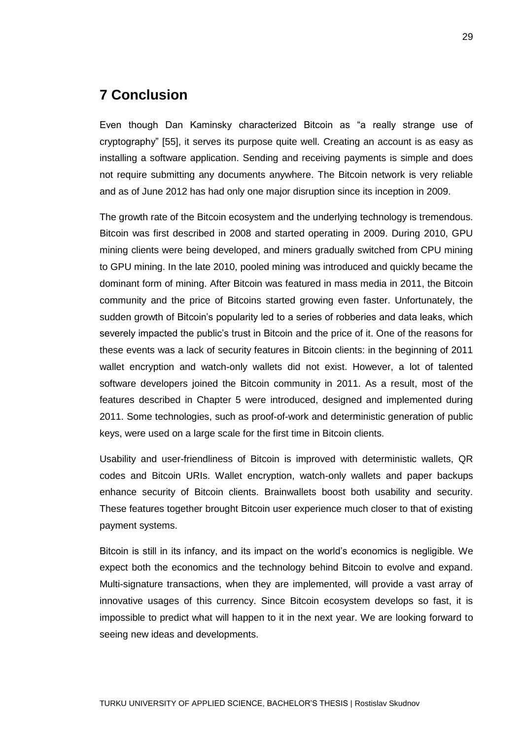## **7 Conclusion**

Even though Dan Kaminsky characterized Bitcoin as "a really strange use of cryptography" [55], it serves its purpose quite well. Creating an account is as easy as installing a software application. Sending and receiving payments is simple and does not require submitting any documents anywhere. The Bitcoin network is very reliable and as of June 2012 has had only one major disruption since its inception in 2009.

The growth rate of the Bitcoin ecosystem and the underlying technology is tremendous. Bitcoin was first described in 2008 and started operating in 2009. During 2010, GPU mining clients were being developed, and miners gradually switched from CPU mining to GPU mining. In the late 2010, pooled mining was introduced and quickly became the dominant form of mining. After Bitcoin was featured in mass media in 2011, the Bitcoin community and the price of Bitcoins started growing even faster. Unfortunately, the sudden growth of Bitcoin's popularity led to a series of robberies and data leaks, which severely impacted the public's trust in Bitcoin and the price of it. One of the reasons for these events was a lack of security features in Bitcoin clients: in the beginning of 2011 wallet encryption and watch-only wallets did not exist. However, a lot of talented software developers joined the Bitcoin community in 2011. As a result, most of the features described in Chapter 5 were introduced, designed and implemented during 2011. Some technologies, such as proof-of-work and deterministic generation of public keys, were used on a large scale for the first time in Bitcoin clients.

Usability and user-friendliness of Bitcoin is improved with deterministic wallets, QR codes and Bitcoin URIs. Wallet encryption, watch-only wallets and paper backups enhance security of Bitcoin clients. Brainwallets boost both usability and security. These features together brought Bitcoin user experience much closer to that of existing payment systems.

Bitcoin is still in its infancy, and its impact on the world's economics is negligible. We expect both the economics and the technology behind Bitcoin to evolve and expand. Multi-signature transactions, when they are implemented, will provide a vast array of innovative usages of this currency. Since Bitcoin ecosystem develops so fast, it is impossible to predict what will happen to it in the next year. We are looking forward to seeing new ideas and developments.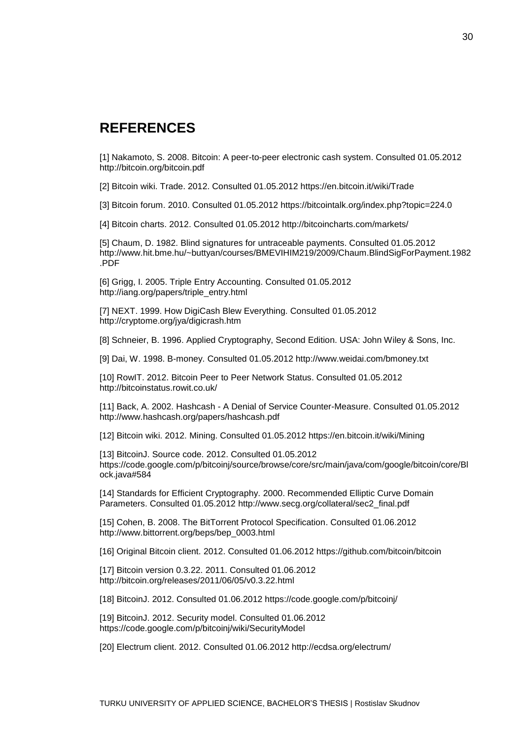## **REFERENCES**

[1] Nakamoto, S. 2008. Bitcoin: A peer-to-peer electronic cash system. Consulted 01.05.2012 http://bitcoin.org/bitcoin.pdf

[2] Bitcoin wiki. Trade. 2012. Consulted 01.05.2012 https://en.bitcoin.it/wiki/Trade

[3] Bitcoin forum. 2010. Consulted 01.05.2012 https://bitcointalk.org/index.php?topic=224.0

[4] Bitcoin charts. 2012. Consulted 01.05.2012 http://bitcoincharts.com/markets/

[5] Chaum, D. 1982. Blind signatures for untraceable payments. Consulted 01.05.2012 http://www.hit.bme.hu/~buttyan/courses/BMEVIHIM219/2009/Chaum.BlindSigForPayment.1982 .PDF

[6] Grigg, I. 2005. Triple Entry Accounting. Consulted 01.05.2012 http://iang.org/papers/triple\_entry.html

[7] NEXT. 1999. How DigiCash Blew Everything. Consulted 01.05.2012 http://cryptome.org/jya/digicrash.htm

[8] Schneier, B. 1996. Applied Cryptography, Second Edition. USA: John Wiley & Sons, Inc.

[9] Dai, W. 1998. B-money. Consulted 01.05.2012 http://www.weidai.com/bmoney.txt

[10] RowIT. 2012. Bitcoin Peer to Peer Network Status. Consulted 01.05.2012 http://bitcoinstatus.rowit.co.uk/

[11] Back, A. 2002. Hashcash - A Denial of Service Counter-Measure. Consulted 01.05.2012 http://www.hashcash.org/papers/hashcash.pdf

[12] Bitcoin wiki. 2012. Mining. Consulted 01.05.2012 https://en.bitcoin.it/wiki/Mining

[13] BitcoinJ. Source code. 2012. Consulted 01.05.2012 https://code.google.com/p/bitcoinj/source/browse/core/src/main/java/com/google/bitcoin/core/Bl ock.java#584

[14] Standards for Efficient Cryptography. 2000. Recommended Elliptic Curve Domain Parameters. Consulted 01.05.2012 http://www.secg.org/collateral/sec2\_final.pdf

[15] Cohen, B. 2008. The BitTorrent Protocol Specification. Consulted 01.06.2012 http://www.bittorrent.org/beps/bep\_0003.html

[16] Original Bitcoin client. 2012. Consulted 01.06.2012 https://github.com/bitcoin/bitcoin

[17] Bitcoin version 0.3.22. 2011. Consulted 01.06.2012 http://bitcoin.org/releases/2011/06/05/v0.3.22.html

[18] BitcoinJ. 2012. Consulted 01.06.2012 https://code.google.com/p/bitcoinj/

[19] BitcoinJ. 2012. Security model. Consulted 01.06.2012 https://code.google.com/p/bitcoinj/wiki/SecurityModel

[20] Electrum client. 2012. Consulted 01.06.2012 http://ecdsa.org/electrum/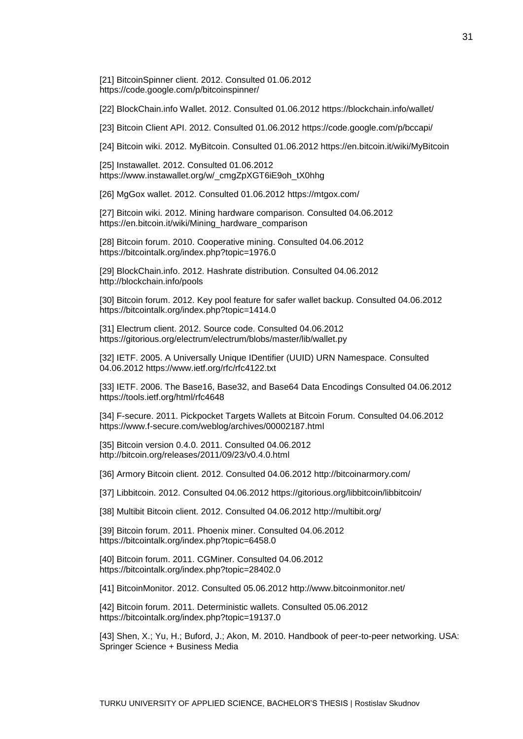[21] BitcoinSpinner client. 2012. Consulted 01.06.2012 https://code.google.com/p/bitcoinspinner/

[22] BlockChain.info Wallet. 2012. Consulted 01.06.2012 https://blockchain.info/wallet/

[23] Bitcoin Client API. 2012. Consulted 01.06.2012 https://code.google.com/p/bccapi/

[24] Bitcoin wiki. 2012. MyBitcoin. Consulted 01.06.2012 https://en.bitcoin.it/wiki/MyBitcoin

[25] Instawallet. 2012. Consulted 01.06.2012 https://www.instawallet.org/w/\_cmgZpXGT6iE9oh\_tX0hhg

[26] MgGox wallet. 2012. Consulted 01.06.2012 https://mtgox.com/

[27] Bitcoin wiki. 2012. Mining hardware comparison. Consulted 04.06.2012 https://en.bitcoin.it/wiki/Mining\_hardware\_comparison

[28] Bitcoin forum. 2010. Cooperative mining. Consulted 04.06.2012 https://bitcointalk.org/index.php?topic=1976.0

[29] BlockChain.info. 2012. Hashrate distribution. Consulted 04.06.2012 http://blockchain.info/pools

[30] Bitcoin forum. 2012. Key pool feature for safer wallet backup. Consulted 04.06.2012 https://bitcointalk.org/index.php?topic=1414.0

[31] Electrum client. 2012. Source code. Consulted 04.06.2012 https://gitorious.org/electrum/electrum/blobs/master/lib/wallet.py

[32] IETF. 2005. A Universally Unique IDentifier (UUID) URN Namespace. Consulted 04.06.2012 https://www.ietf.org/rfc/rfc4122.txt

[33] IETF. 2006. The Base16, Base32, and Base64 Data Encodings Consulted 04.06.2012 https://tools.ietf.org/html/rfc4648

[34] F-secure. 2011. Pickpocket Targets Wallets at Bitcoin Forum. Consulted 04.06.2012 https://www.f-secure.com/weblog/archives/00002187.html

[35] Bitcoin version 0.4.0. 2011. Consulted 04.06.2012 http://bitcoin.org/releases/2011/09/23/v0.4.0.html

[36] Armory Bitcoin client. 2012. Consulted 04.06.2012 http://bitcoinarmory.com/

[37] Libbitcoin. 2012. Consulted 04.06.2012 https://gitorious.org/libbitcoin/libbitcoin/

[38] Multibit Bitcoin client. 2012. Consulted 04.06.2012 http://multibit.org/

[39] Bitcoin forum. 2011. Phoenix miner. Consulted 04.06.2012 https://bitcointalk.org/index.php?topic=6458.0

[40] Bitcoin forum. 2011. CGMiner. Consulted 04.06.2012 https://bitcointalk.org/index.php?topic=28402.0

[41] BitcoinMonitor. 2012. Consulted 05.06.2012 http://www.bitcoinmonitor.net/

[42] Bitcoin forum. 2011. Deterministic wallets. Consulted 05.06.2012 https://bitcointalk.org/index.php?topic=19137.0

[43] Shen, X.; Yu, H.; Buford, J.; Akon, M. 2010. Handbook of peer-to-peer networking. USA: Springer Science + Business Media